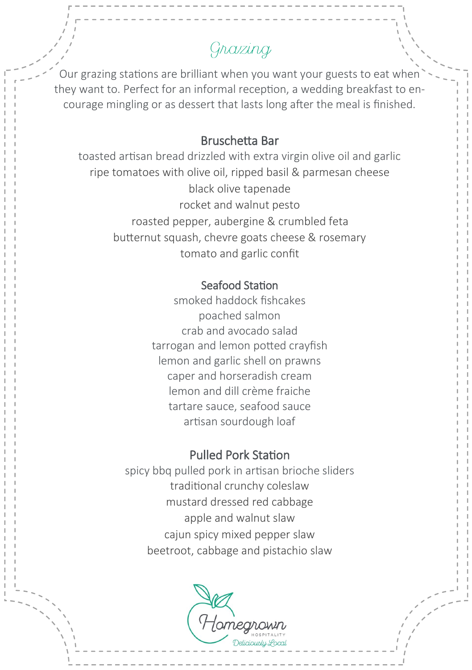# Grazing

Our grazing stations are brilliant when you want your guests to eat when they want to. Perfect for an informal reception, a wedding breakfast to encourage mingling or as dessert that lasts long after the meal is finished.

### Bruschetta Bar

toasted artisan bread drizzled with extra virgin olive oil and garlic ripe tomatoes with olive oil, ripped basil & parmesan cheese black olive tapenade rocket and walnut pesto roasted pepper, aubergine & crumbled feta butternut squash, chevre goats cheese & rosemary tomato and garlic confit

#### Seafood Station

smoked haddock fishcakes poached salmon crab and avocado salad tarrogan and lemon potted crayfish lemon and garlic shell on prawns caper and horseradish cream lemon and dill crème fraiche tartare sauce, seafood sauce artisan sourdough loaf

# Pulled Pork Station

spicy bbq pulled pork in artisan brioche sliders traditional crunchy coleslaw mustard dressed red cabbage apple and walnut slaw cajun spicy mixed pepper slaw beetroot, cabbage and pistachio slaw

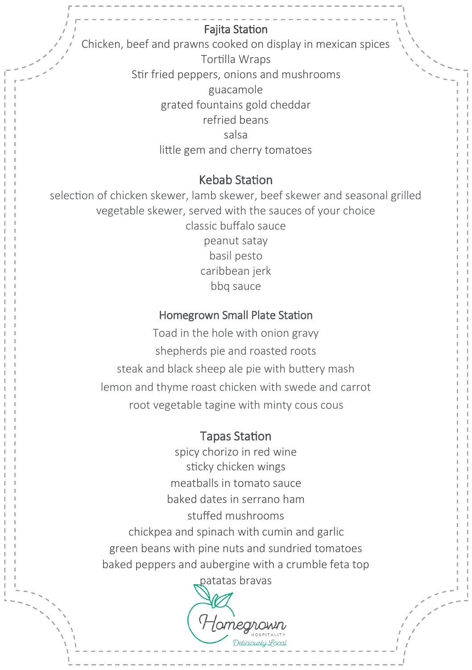# Fajita Station

Chicken, beef and prawns cooked on display in mexican spices Tortilla Wraps Stir fried peppers, onions and mushrooms guacamole grated fountains gold cheddar refried beans salsa little gem and cherry tomatoes

## Kebab Station

selection of chicken skewer, lamb skewer, beef skewer and seasonal grilled vegetable skewer, served with the sauces of your choice classic buffalo sauce peanut satay basil pesto caribbean jerk bbq sauce

# Homegrown Small Plate Station

Toad in the hole with onion gravy shepherds pie and roasted roots steak and black sheep ale pie with buttery mash lemon and thyme roast chicken with swede and carrot root vegetable tagine with minty cous cous

## Tapas Station

spicy chorizo in red wine sticky chicken wings meatballs in tomato sauce baked dates in serrano ham stuffed mushrooms chickpea and spinach with cumin and garlic green beans with pine nuts and sundried tomatoes baked peppers and aubergine with a crumble feta top

patatas bravas

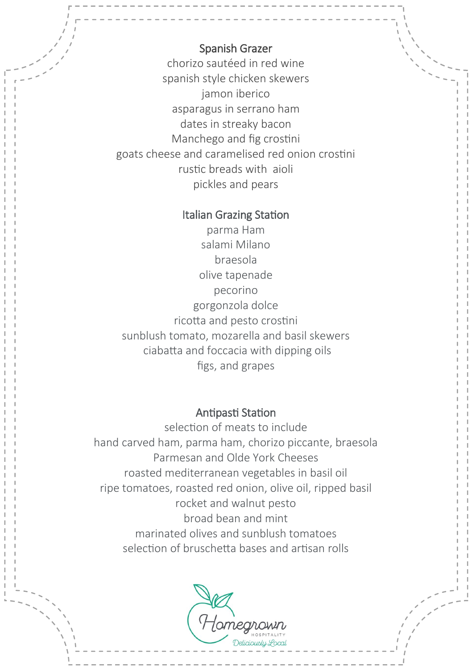## Spanish Grazer

chorizo sautéed in red wine spanish style chicken skewers jamon iberico asparagus in serrano ham dates in streaky bacon Manchego and fig crostini goats cheese and caramelised red onion crostini rustic breads with aioli pickles and pears

#### Italian Grazing Station

parma Ham salami Milano braesola olive tapenade pecorino gorgonzola dolce ricotta and pesto crostini sunblush tomato, mozarella and basil skewers ciabatta and foccacia with dipping oils figs, and grapes

#### Antipasti Station

selection of meats to include hand carved ham, parma ham, chorizo piccante, braesola Parmesan and Olde York Cheeses roasted mediterranean vegetables in basil oil ripe tomatoes, roasted red onion, olive oil, ripped basil rocket and walnut pesto broad bean and mint marinated olives and sunblush tomatoes selection of bruschetta bases and artisan rolls